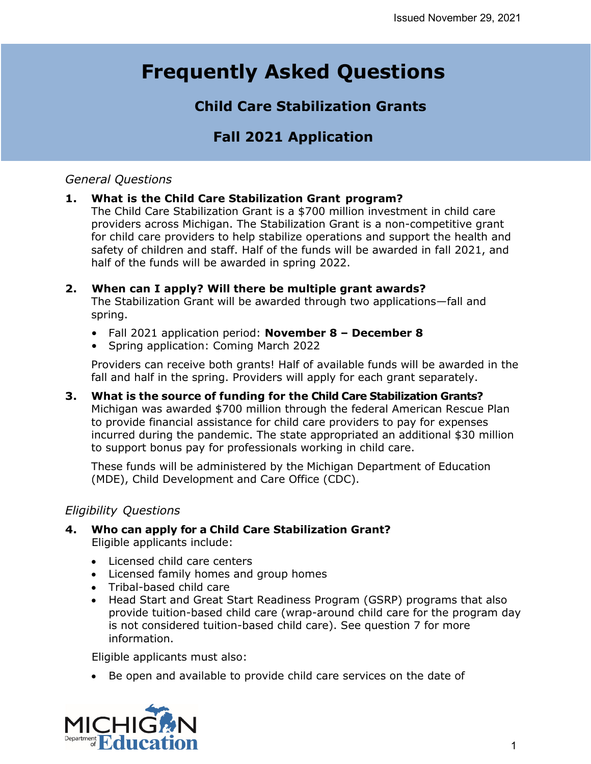# **Frequently Asked Questions**

# **Child Care Stabilization Grants**

# **Fall 2021 Application**

# *General Questions*

# **1. What is the Child Care Stabilization Grant program?**

The Child Care Stabilization Grant is a \$700 million investment in child care providers across Michigan. The Stabilization Grant is a non-competitive grant for child care providers to help stabilize operations and support the health and safety of children and staff. Half of the funds will be awarded in fall 2021, and half of the funds will be awarded in spring 2022.

### **2. When can I apply? Will there be multiple grant awards?**

The Stabilization Grant will be awarded through two applications—fall and spring.

- Fall 2021 application period: **November 8 December 8**
- Spring application: Coming March 2022

Providers can receive both grants! Half of available funds will be awarded in the fall and half in the spring. Providers will apply for each grant separately.

**3. What is the source of funding for the Child Care Stabilization Grants?**  Michigan was awarded \$700 million through the federal American Rescue Plan to provide financial assistance for child care providers to pay for expenses incurred during the pandemic. The state appropriated an additional \$30 million to support bonus pay for professionals working in child care.

These funds will be administered by the Michigan Department of Education (MDE), Child Development and Care Office (CDC).

# *Eligibility Questions*

- **4. Who can apply for a Child Care Stabilization Grant?** Eligible applicants include:
	- Licensed child care centers
	- Licensed family homes and group homes
	- Tribal-based child care
	- Head Start and Great Start Readiness Program (GSRP) programs that also provide tuition-based child care (wrap-around child care for the program day is not considered tuition-based child care). See question 7 for more information.

Eligible applicants must also:

• Be open and available to provide child care services on the date of

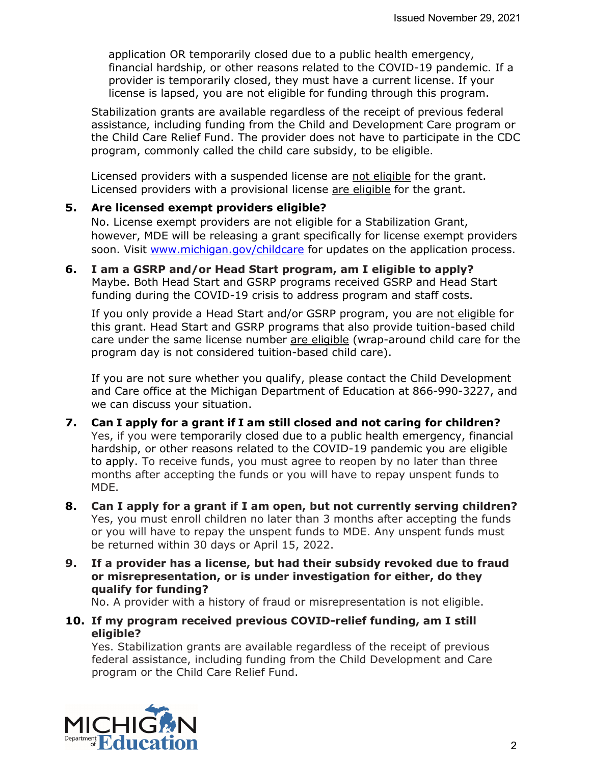application OR temporarily closed due to a public health emergency, financial hardship, or other reasons related to the COVID-19 pandemic. If a provider is temporarily closed, they must have a current license. If your license is lapsed, you are not eligible for funding through this program.

Stabilization grants are available regardless of the receipt of previous federal assistance, including funding from the Child and Development Care program or the Child Care Relief Fund. The provider does not have to participate in the CDC program, commonly called the child care subsidy, to be eligible.

Licensed providers with a suspended license are not eligible for the grant. Licensed providers with a provisional license are eligible for the grant.

#### **5. Are licensed exempt providers eligible?**

No. License exempt providers are not eligible for a Stabilization Grant, however, MDE will be releasing a grant specifically for license exempt providers soon. Visit [www.michigan.gov/childcare](http://www.michigan.gov/childcare) for updates on the application process.

**6. I am a GSRP and/or Head Start program, am I eligible to apply?** Maybe. Both Head Start and GSRP programs received GSRP and Head Start funding during the COVID-19 crisis to address program and staff costs.

If you only provide a Head Start and/or GSRP program, you are not eligible for this grant. Head Start and GSRP programs that also provide tuition-based child care under the same license number are eligible (wrap-around child care for the program day is not considered tuition-based child care).

If you are not sure whether you qualify, please contact the Child Development and Care office at the Michigan Department of Education at 866-990-3227, and we can discuss your situation.

- **7. Can I apply for a grant if I am still closed and not caring for children?** Yes, if you were temporarily closed due to a public health emergency, financial hardship, or other reasons related to the COVID-19 pandemic you are eligible to apply. To receive funds, you must agree to reopen by no later than three months after accepting the funds or you will have to repay unspent funds to MDE.
- **8. Can I apply for a grant if I am open, but not currently serving children?** Yes, you must enroll children no later than 3 months after accepting the funds or you will have to repay the unspent funds to MDE. Any unspent funds must be returned within 30 days or April 15, 2022.
- **9. If a provider has a license, but had their subsidy revoked due to fraud or misrepresentation, or is under investigation for either, do they qualify for funding?**

No. A provider with a history of fraud or misrepresentation is not eligible.

**10. If my program received previous COVID-relief funding, am I still eligible?**

Yes. Stabilization grants are available regardless of the receipt of previous federal assistance, including funding from the Child Development and Care program or the Child Care Relief Fund.

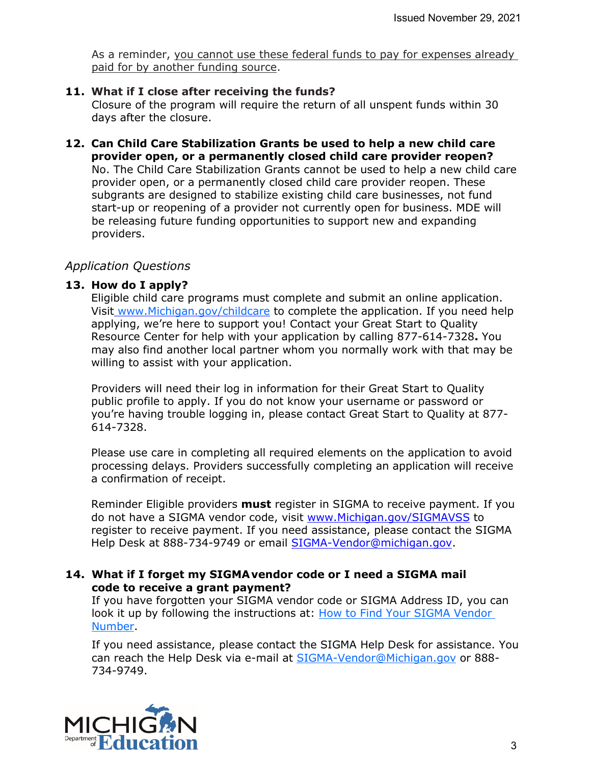As a reminder, you cannot use these federal funds to pay for expenses already paid for by another funding source.

#### **11. What if I close after receiving the funds?**

Closure of the program will require the return of all unspent funds within 30 days after the closure.

**12. Can Child Care Stabilization Grants be used to help a new child care provider open, or a permanently closed child care provider reopen?** No. The Child Care Stabilization Grants cannot be used to help a new child care provider open, or a permanently closed child care provider reopen. These subgrants are designed to stabilize existing child care businesses, not fund start-up or reopening of a provider not currently open for business. MDE will be releasing future funding opportunities to support new and expanding providers.

#### *Application Questions*

#### **13. How do I apply?**

Eligible child care programs must complete and submit an online application. Visit [www.Michigan.gov/childcare](http://www.michigan.gov/childcare) to complete the application. If you need help applying, we're here to support you! Contact your Great Start to Quality Resource Center for help with your application by calling 877-614-7328**.** You may also find another local partner whom you normally work with that may be willing to assist with your application.

Providers will need their log in information for their Great Start to Quality public profile to apply. If you do not know your username or password or you're having trouble logging in, please contact Great Start to Quality at 877- 614-7328.

Please use care in completing all required elements on the application to avoid processing delays. Providers successfully completing an application will receive a confirmation of receipt.

Reminder Eligible providers **must** register in SIGMA to receive payment. If you do not have a SIGMA vendor code, visit [www.Michigan.gov/SIGMAVSS](http://www.michigan.gov/SIGMAVSS) to register to receive payment. If you need assistance, please contact the SIGMA Help Desk at 888-734-9749 or email [SIGMA-Vendor@michigan.gov.](mailto:SIGMA-Vendor@michigan.gov)

#### **14. What if I forget my SIGMAvendor code or I need a SIGMA mail code to receive a grant payment?**

If you have forgotten your SIGMA vendor code or SIGMA Address ID, you can look it up by following the instructions at: [How to Find Your SIGMA Vendor](https://gcc01.safelinks.protection.outlook.com/?url=https%3A%2F%2Fwww.michigan.gov%2Fdocuments%2Fbudget%2FHow_to_Find_Your_SIGMA_Vendor_Number_688958_7.pdf&data=02%7C01%7CBrewer-WalravenL%40michigan.gov%7Cf021ab0b6f1a46ec6de708d7edfcaa11%7Cd5fb7087377742ad966a892ef47225d1%7C0%7C0%7C637239541741511635&sdata=cxqWRLdWMipBdBtUxRHq9HcS8PcCC3ZLDLQUVE1wVLU%3D&reserved=0)  [Number.](https://gcc01.safelinks.protection.outlook.com/?url=https%3A%2F%2Fwww.michigan.gov%2Fdocuments%2Fbudget%2FHow_to_Find_Your_SIGMA_Vendor_Number_688958_7.pdf&data=02%7C01%7CBrewer-WalravenL%40michigan.gov%7Cf021ab0b6f1a46ec6de708d7edfcaa11%7Cd5fb7087377742ad966a892ef47225d1%7C0%7C0%7C637239541741511635&sdata=cxqWRLdWMipBdBtUxRHq9HcS8PcCC3ZLDLQUVE1wVLU%3D&reserved=0)

If you need assistance, please contact the SIGMA Help Desk for assistance. You can reach the Help Desk via e-mail at [SIGMA-Vendor@Michigan.gov](mailto:SIGMA-Vendor@Michigan.gov) or 888-734-9749.

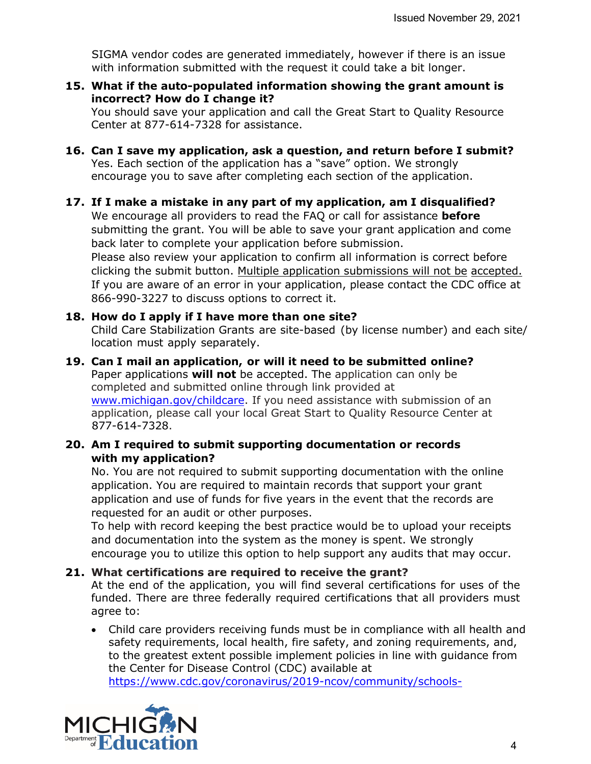SIGMA vendor codes are generated immediately, however if there is an issue with information submitted with the request it could take a bit longer.

**15. What if the auto-populated information showing the grant amount is incorrect? How do I change it?**

You should save your application and call the Great Start to Quality Resource Center at 877-614-7328 for assistance.

- **16. Can I save my application, ask a question, and return before I submit?** Yes. Each section of the application has a "save" option. We strongly encourage you to save after completing each section of the application.
- **17. If I make a mistake in any part of my application, am I disqualified?** We encourage all providers to read the FAQ or call for assistance **before** submitting the grant. You will be able to save your grant application and come back later to complete your application before submission. Please also review your application to confirm all information is correct before clicking the submit button. Multiple application submissions will not be accepted. If you are aware of an error in your application, please contact the CDC office at 866-990-3227 to discuss options to correct it.

# **18. How do I apply if I have more than one site?**

Child Care Stabilization Grants are site-based (by license number) and each site/ location must apply separately.

**19. Can I mail an application, or will it need to be submitted online?** Paper applications **will not** be accepted. The application can only be completed and submitted online through link provided at [www.michigan.gov/childcare.](http://www.michigan.gov/childcare) If you need assistance with submission of an application, please call your local Great Start to Quality Resource Center at 877-614-7328.

#### **20. Am I required to submit supporting documentation or records with my application?**

No. You are not required to submit supporting documentation with the online application. You are required to maintain records that support your grant application and use of funds for five years in the event that the records are requested for an audit or other purposes.

To help with record keeping the best practice would be to upload your receipts and documentation into the system as the money is spent. We strongly encourage you to utilize this option to help support any audits that may occur.

#### **21. What certifications are required to receive the grant?**

At the end of the application, you will find several certifications for uses of the funded. There are three federally required certifications that all providers must agree to:

• Child care providers receiving funds must be in compliance with all health and safety requirements, local health, fire safety, and zoning requirements, and, to the greatest extent possible implement policies in line with guidance from the Center for Disease Control (CDC) available at [https://www.cdc.gov/coronavirus/2019-ncov/community/schools-](https://www.cdc.gov/coronavirus/2019-ncov/community/schools-childcare/child-care-guidance.html)

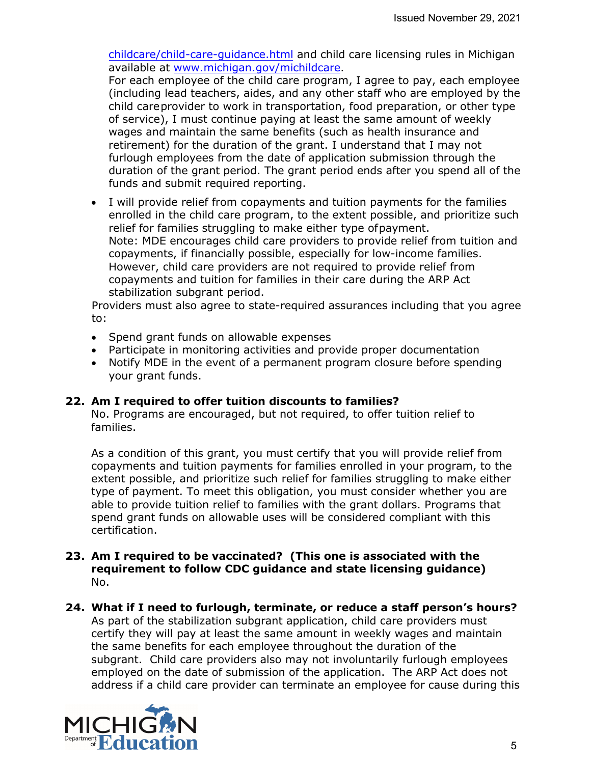[childcare/child-care-guidance.html](https://www.cdc.gov/coronavirus/2019-ncov/community/schools-childcare/child-care-guidance.html) and child care licensing rules in Michigan available at [www.michigan.gov/michildcare.](https://www.michigan.gov/lara/0,4601,7-154-89334_106253_106343---,00.html)

For each employee of the child care program, I agree to pay, each employee (including lead teachers, aides, and any other staff who are employed by the child careprovider to work in transportation, food preparation, or other type of service), I must continue paying at least the same amount of weekly wages and maintain the same benefits (such as health insurance and retirement) for the duration of the grant. I understand that I may not furlough employees from the date of application submission through the duration of the grant period. The grant period ends after you spend all of the funds and submit required reporting.

• I will provide relief from copayments and tuition payments for the families enrolled in the child care program, to the extent possible, and prioritize such relief for families struggling to make either type ofpayment. Note: MDE encourages child care providers to provide relief from tuition and copayments, if financially possible, especially for low-income families. However, child care providers are not required to provide relief from copayments and tuition for families in their care during the ARP Act stabilization subgrant period.

Providers must also agree to state-required assurances including that you agree to:

- Spend grant funds on allowable expenses
- Participate in monitoring activities and provide proper documentation
- Notify MDE in the event of a permanent program closure before spending your grant funds.

#### **22. Am I required to offer tuition discounts to families?**

No. Programs are encouraged, but not required, to offer tuition relief to families.

As a condition of this grant, you must certify that you will provide relief from copayments and tuition payments for families enrolled in your program, to the extent possible, and prioritize such relief for families struggling to make either type of payment. To meet this obligation, you must consider whether you are able to provide tuition relief to families with the grant dollars. Programs that spend grant funds on allowable uses will be considered compliant with this certification.

- **23. Am I required to be vaccinated? (This one is associated with the requirement to follow CDC guidance and state licensing guidance)** No.
- **24. What if I need to furlough, terminate, or reduce a staff person's hours?** As part of the stabilization subgrant application, child care providers must certify they will pay at least the same amount in weekly wages and maintain the same benefits for each employee throughout the duration of the subgrant. Child care providers also may not involuntarily furlough employees employed on the date of submission of the application. The ARP Act does not address if a child care provider can terminate an employee for cause during this

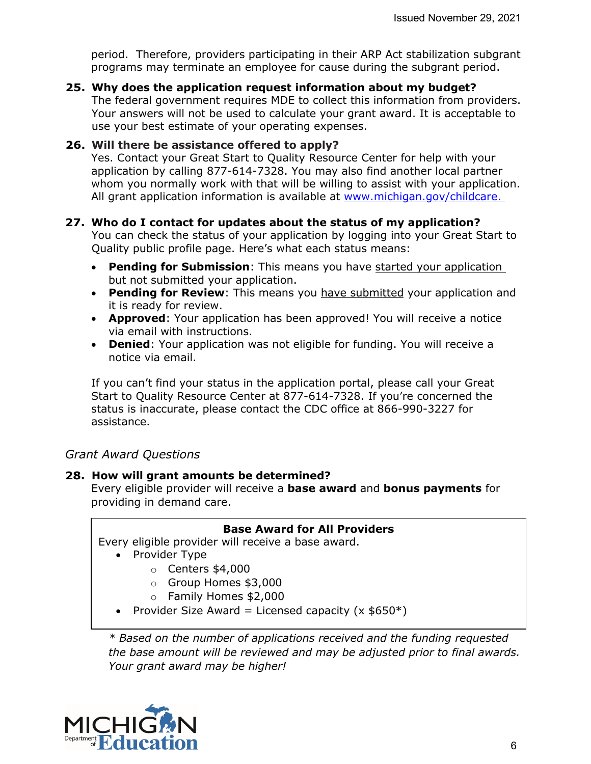period. Therefore, providers participating in their ARP Act stabilization subgrant programs may terminate an employee for cause during the subgrant period.

**25. Why does the application request information about my budget?** 

The federal government requires MDE to collect this information from providers. Your answers will not be used to calculate your grant award. It is acceptable to use your best estimate of your operating expenses.

#### **26. Will there be assistance offered to apply?**

Yes. Contact your Great Start to Quality Resource Center for help with your application by calling 877-614-7328. You may also find another local partner whom you normally work with that will be willing to assist with your application. All grant application information is available at [www.michigan.gov/childcare.](http://www.michigan.gov/childcare)

#### **27. Who do I contact for updates about the status of my application?**

You can check the status of your application by logging into your Great Start to Quality public profile page. Here's what each status means:

- **Pending for Submission**: This means you have started your application but not submitted your application.
- **Pending for Review**: This means you have submitted your application and it is ready for review.
- **Approved**: Your application has been approved! You will receive a notice via email with instructions.
- **Denied**: Your application was not eligible for funding. You will receive a notice via email.

If you can't find your status in the application portal, please call your Great Start to Quality Resource Center at 877-614-7328. If you're concerned the status is inaccurate, please contact the CDC office at 866-990-3227 for assistance.

# *Grant Award Questions*

#### **28. How will grant amounts be determined?**

Every eligible provider will receive a **base award** and **bonus payments** for providing in demand care.

#### **Base Award for All Providers**

Every eligible provider will receive a base award.

- Provider Type
	- o Centers \$4,000
	- o Group Homes \$3,000
	- o Family Homes \$2,000
- Provider Size Award = Licensed capacity  $(x 15650^*)$

*\* Based on the number of applications received and the funding requested the base amount will be reviewed and may be adjusted prior to final awards. Your grant award may be higher!*

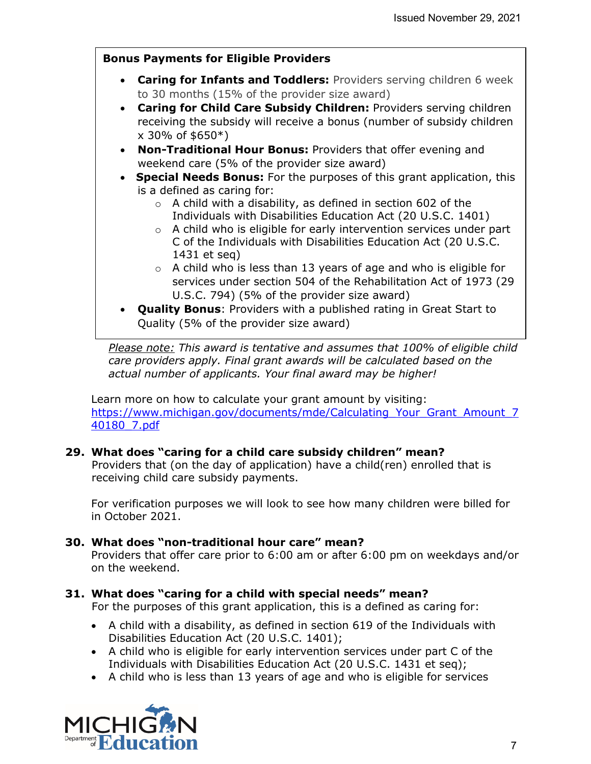# **Bonus Payments for Eligible Providers**

- **Caring for Infants and Toddlers:** Providers serving children 6 week to 30 months (15% of the provider size award)
- **Caring for Child Care Subsidy Children:** Providers serving children receiving the subsidy will receive a bonus (number of subsidy children  $x$  30% of \$650 $*)$
- **Non-Traditional Hour Bonus:** Providers that offer evening and weekend care (5% of the provider size award)
- • **Special Needs Bonus:** For the purposes of this grant application, this is a defined as caring for:
	- $\circ$  A child with a disability, as defined in section 602 of the Individuals with Disabilities Education Act (20 U.S.C. 1401)
	- o A child who is eligible for early intervention services under part C of the Individuals with Disabilities Education Act (20 U.S.C. 1431 et seq)
	- $\circ$  A child who is less than 13 years of age and who is eligible for services under section 504 of the Rehabilitation Act of 1973 (29 U.S.C. 794) (5% of the provider size award)
- **Quality Bonus**: Providers with a published rating in Great Start to Quality (5% of the provider size award)

*Please note: This award is tentative and assumes that 100% of eligible child care providers apply. Final grant awards will be calculated based on the actual number of applicants. Your final award may be higher!* 

Learn more on how to calculate your grant amount by visiting: [https://www.michigan.gov/documents/mde/Calculating\\_Your\\_Grant\\_Amount\\_7](https://www.michigan.gov/documents/mde/Calculating_Your_Grant_Amount_740180_7.pdf) [40180\\_7.pdf](https://www.michigan.gov/documents/mde/Calculating_Your_Grant_Amount_740180_7.pdf)

# **29. What does "caring for a child care subsidy children" mean?**

Providers that (on the day of application) have a child(ren) enrolled that is receiving child care subsidy payments.

For verification purposes we will look to see how many children were billed for in October 2021.

#### **30. What does "non-traditional hour care" mean?**

Providers that offer care prior to 6:00 am or after 6:00 pm on weekdays and/or on the weekend.

# **31. What does "caring for a child with special needs" mean?**

For the purposes of this grant application, this is a defined as caring for:

- A child with a disability, as defined in section 619 of the Individuals with Disabilities Education Act (20 U.S.C. 1401);
- A child who is eligible for early intervention services under part C of the Individuals with Disabilities Education Act (20 U.S.C. 1431 et seq);
- A child who is less than 13 years of age and who is eligible for services

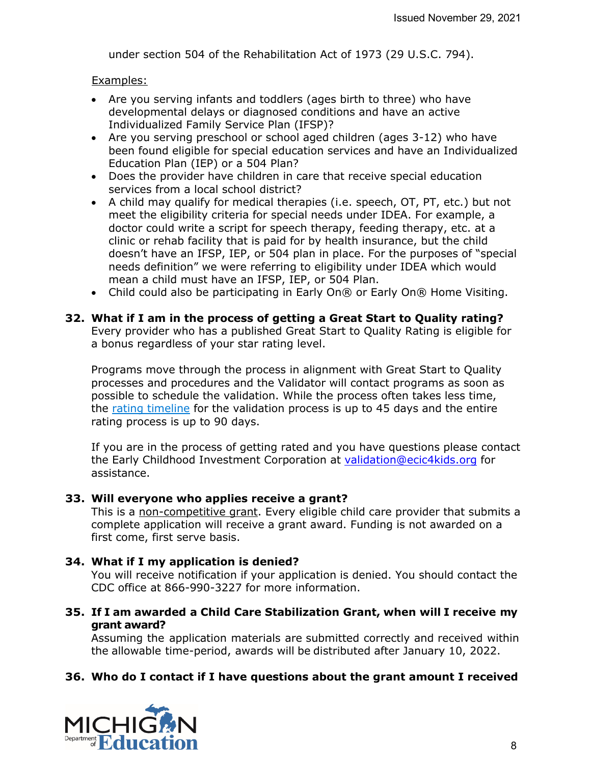under section 504 of the Rehabilitation Act of 1973 (29 U.S.C. 794).

Examples:

- Are you serving infants and toddlers (ages birth to three) who have developmental delays or diagnosed conditions and have an active Individualized Family Service Plan (IFSP)?
- Are you serving preschool or school aged children (ages 3-12) who have been found eligible for special education services and have an Individualized Education Plan (IEP) or a 504 Plan?
- Does the provider have children in care that receive special education services from a local school district?
- A child may qualify for medical therapies (i.e. speech, OT, PT, etc.) but not meet the eligibility criteria for special needs under IDEA. For example, a doctor could write a script for speech therapy, feeding therapy, etc. at a clinic or rehab facility that is paid for by health insurance, but the child doesn't have an IFSP, IEP, or 504 plan in place. For the purposes of "special needs definition" we were referring to eligibility under IDEA which would mean a child must have an IFSP, IEP, or 504 Plan.
- Child could also be participating in Early On® or Early On® Home Visiting.
- **32. What if I am in the process of getting a Great Start to Quality rating?**  Every provider who has a published Great Start to Quality Rating is eligible for a bonus regardless of your star rating level.

Programs move through the process in alignment with Great Start to Quality processes and procedures and the Validator will contact programs as soon as possible to schedule the validation. While the process often takes less time, the [rating timeline](https://gcc02.safelinks.protection.outlook.com/?url=https%3A%2F%2Fgreatstarttoquality.org%2Fearn-a-rating%2F&data=04%7C01%7Cbrewer-walravenl%40michigan.gov%7C2456a32ef62d400ccd3f08d9a5641fb9%7Cd5fb7087377742ad966a892ef47225d1%7C0%7C0%7C637722671721659896%7CUnknown%7CTWFpbGZsb3d8eyJWIjoiMC4wLjAwMDAiLCJQIjoiV2luMzIiLCJBTiI6Ik1haWwiLCJXVCI6Mn0%3D%7C1000&sdata=N0%2BhnUA2ROihSj8Xnp4HKQT3B9X3jCp6%2BZq6saVg%2FPU%3D&reserved=0) for the validation process is up to 45 days and the entire rating process is up to 90 days.

If you are in the process of getting rated and you have questions please contact the Early Childhood Investment Corporation at [validation@ecic4kids.org](mailto:validation@ecic4kids.org) for assistance.

#### **33. Will everyone who applies receive a grant?**

This is a non-competitive grant. Every eligible child care provider that submits a complete application will receive a grant award. Funding is not awarded on a first come, first serve basis.

#### **34. What if I my application is denied?**

You will receive notification if your application is denied. You should contact the CDC office at 866-990-3227 for more information.

**35. If I am awarded a Child Care Stabilization Grant, when will I receive my grant award?** 

Assuming the application materials are submitted correctly and received within the allowable time-period, awards will be distributed after January 10, 2022.

#### **36. Who do I contact if I have questions about the grant amount I received**

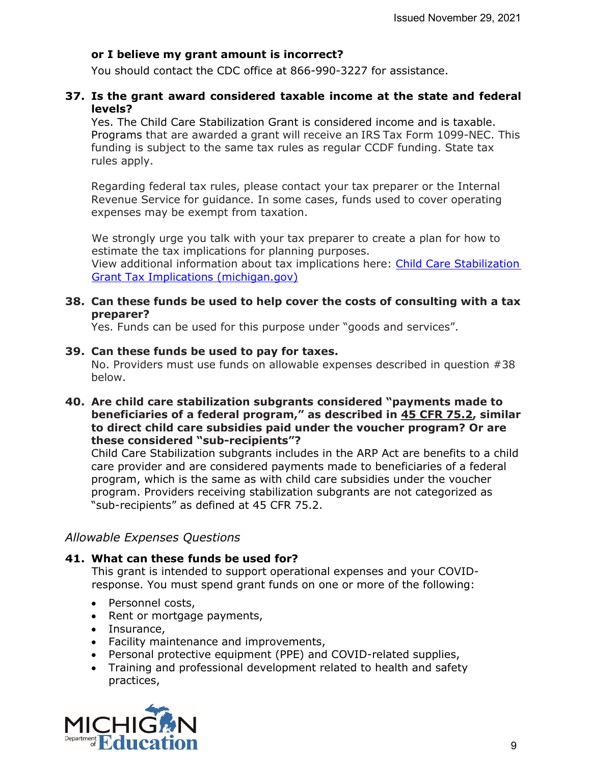#### **or I believe my grant amount is incorrect?**

You should contact the CDC office at 866-990-3227 for assistance.

#### **37. Is the grant award considered taxable income at the state and federal levels?**

Yes. The Child Care Stabilization Grant is considered income and is taxable. Programs that are awarded a grant will receive an IRS Tax Form 1099-NEC. This funding is subject to the same tax rules as regular CCDF funding. State tax rules apply.

Regarding federal tax rules, please contact your tax preparer or the Internal Revenue Service for guidance. In some cases, funds used to cover operating expenses may be exempt from taxation.

We strongly urge you talk with your tax preparer to create a plan for how to estimate the tax implications for planning purposes.

View additional information about tax implications here: [Child Care Stabilization](https://www.michigan.gov/documents/mde/Tax_implications_740185_7.pdf)  [Grant Tax Implications \(michigan.gov\)](https://www.michigan.gov/documents/mde/Tax_implications_740185_7.pdf)

#### **38. Can these funds be used to help cover the costs of consulting with a tax preparer?**

Yes. Funds can be used for this purpose under "goods and services".

#### **39. Can these funds be used to pay for taxes.**

No. Providers must use funds on allowable expenses described in question #38 below.

#### **40. Are child care stabilization subgrants considered "payments made to beneficiaries of a federal program," as described in 45 CFR 75.2, similar to direct child care subsidies paid under the voucher program? Or are these considered "sub-recipients"?**

Child Care Stabilization subgrants includes in the ARP Act are benefits to a child care provider and are considered payments made to beneficiaries of a federal program, which is the same as with child care subsidies under the voucher program. Providers receiving stabilization subgrants are not categorized as "sub-recipients" as defined at 45 CFR 75.2.

#### *Allowable Expenses Questions*

#### **41. What can these funds be used for?**

This grant is intended to support operational expenses and your COVIDresponse. You must spend grant funds on one or more of the following:

- Personnel costs,
- Rent or mortgage payments,
- Insurance,
- Facility maintenance and improvements,
- Personal protective equipment (PPE) and COVID-related supplies,
- Training and professional development related to health and safety practices,

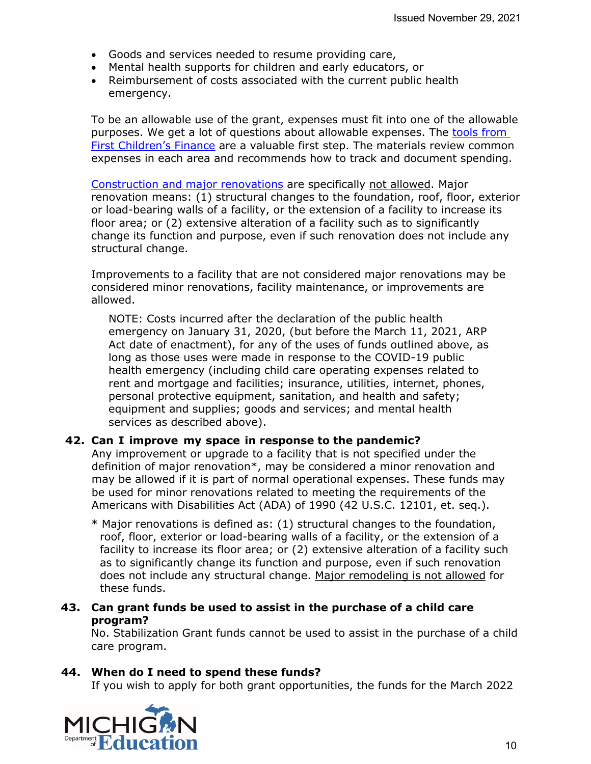- Goods and services needed to resume providing care,
- Mental health supports for children and early educators, or
- Reimbursement of costs associated with the current public health emergency.

To be an allowable use of the grant, expenses must fit into one of the allowable purposes. We get a lot of questions about allowable expenses. The tools from [First Children's Finance](https://gcc02.safelinks.protection.outlook.com/?url=https%3A%2F%2Fwww.michigan.gov%2Fmde%2F0%2C4615%2C7-140--570701--%2C00.html&data=04%7C01%7CBrewer-WalravenL%40michigan.gov%7Cc32e6e68eb0a44d9a5e508d99fb36dbd%7Cd5fb7087377742ad966a892ef47225d1%7C0%7C0%7C637716415244550372%7CUnknown%7CTWFpbGZsb3d8eyJWIjoiMC4wLjAwMDAiLCJQIjoiV2luMzIiLCJBTiI6Ik1haWwiLCJXVCI6Mn0%3D%7C1000&sdata=DEBJOW75I6Dpl1%2B3bzg9Q8kyuvKZb3191Ru%2B2FTZQdM%3D&reserved=0) are a valuable first step. The materials review common expenses in each area and recommends how to track and document spending.

[Construction and major renovations](https://gcc02.safelinks.protection.outlook.com/?url=https%3A%2F%2Fwww.michigan.gov%2Fdocuments%2Fmde%2FStabilization_Grant_Allowable_Uses_740186_7.pdf&data=04%7C01%7CBrewer-WalravenL%40michigan.gov%7Cc32e6e68eb0a44d9a5e508d99fb36dbd%7Cd5fb7087377742ad966a892ef47225d1%7C0%7C0%7C637716415244560333%7CUnknown%7CTWFpbGZsb3d8eyJWIjoiMC4wLjAwMDAiLCJQIjoiV2luMzIiLCJBTiI6Ik1haWwiLCJXVCI6Mn0%3D%7C1000&sdata=AqBZ0jGBYsmgcEM3J5OvrO630vcy7rm4NgUfKcwuxoQ%3D&reserved=0) are specifically not allowed. Major renovation means: (1) structural changes to the foundation, roof, floor, exterior or load-bearing walls of a facility, or the extension of a facility to increase its floor area; or (2) extensive alteration of a facility such as to significantly change its function and purpose, even if such renovation does not include any structural change.

Improvements to a facility that are not considered major renovations may be considered minor renovations, facility maintenance, or improvements are allowed.

NOTE: Costs incurred after the declaration of the public health emergency on January 31, 2020, (but before the March 11, 2021, ARP Act date of enactment), for any of the uses of funds outlined above, as long as those uses were made in response to the COVID-19 public health emergency (including child care operating expenses related to rent and mortgage and facilities; insurance, utilities, internet, phones, personal protective equipment, sanitation, and health and safety; equipment and supplies; goods and services; and mental health services as described above).

#### **42. Can I improve my space in response to the pandemic?**

Any improvement or upgrade to a facility that is not specified under the definition of major renovation\*, may be considered a minor renovation and may be allowed if it is part of normal operational expenses. These funds may be used for minor renovations related to meeting the requirements of the Americans with Disabilities Act (ADA) of 1990 (42 U.S.C. 12101, et. seq.).

- \* Major renovations is defined as: (1) structural changes to the foundation, roof, floor, exterior or load-bearing walls of a facility, or the extension of a facility to increase its floor area; or (2) extensive alteration of a facility such as to significantly change its function and purpose, even if such renovation does not include any structural change. Major remodeling is not allowed for these funds.
- **43. Can grant funds be used to assist in the purchase of a child care program?**

No. Stabilization Grant funds cannot be used to assist in the purchase of a child care program.

#### **44. When do I need to spend these funds?**

If you wish to apply for both grant opportunities, the funds for the March 2022

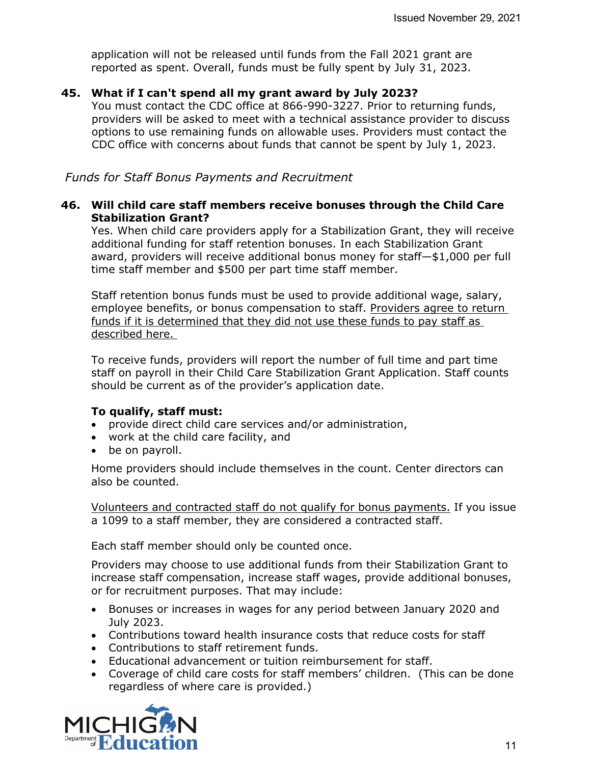application will not be released until funds from the Fall 2021 grant are reported as spent. Overall, funds must be fully spent by July 31, 2023.

#### **45. What if I can't spend all my grant award by July 2023?**

You must contact the CDC office at 866-990-3227. Prior to returning funds, providers will be asked to meet with a technical assistance provider to discuss options to use remaining funds on allowable uses. Providers must contact the CDC office with concerns about funds that cannot be spent by July 1, 2023.

*Funds for Staff Bonus Payments and Recruitment* 

#### **46. Will child care staff members receive bonuses through the Child Care Stabilization Grant?**

Yes. When child care providers apply for a Stabilization Grant, they will receive additional funding for staff retention bonuses. In each Stabilization Grant award, providers will receive additional bonus money for staff—\$1,000 per full time staff member and \$500 per part time staff member.

Staff retention bonus funds must be used to provide additional wage, salary, employee benefits, or bonus compensation to staff. Providers agree to return funds if it is determined that they did not use these funds to pay staff as described here.

To receive funds, providers will report the number of full time and part time staff on payroll in their Child Care Stabilization Grant Application. Staff counts should be current as of the provider's application date.

#### **To qualify, staff must:**

- provide direct child care services and/or administration,
- work at the child care facility, and
- be on payroll.

Home providers should include themselves in the count. Center directors can also be counted.

Volunteers and contracted staff do not qualify for bonus payments. If you issue a 1099 to a staff member, they are considered a contracted staff.

Each staff member should only be counted once.

Providers may choose to use additional funds from their Stabilization Grant to increase staff compensation, increase staff wages, provide additional bonuses, or for recruitment purposes. That may include:

- Bonuses or increases in wages for any period between January 2020 and July 2023.
- Contributions toward health insurance costs that reduce costs for staff
- Contributions to staff retirement funds.
- Educational advancement or tuition reimbursement for staff.
- Coverage of child care costs for staff members' children. (This can be done regardless of where care is provided.)

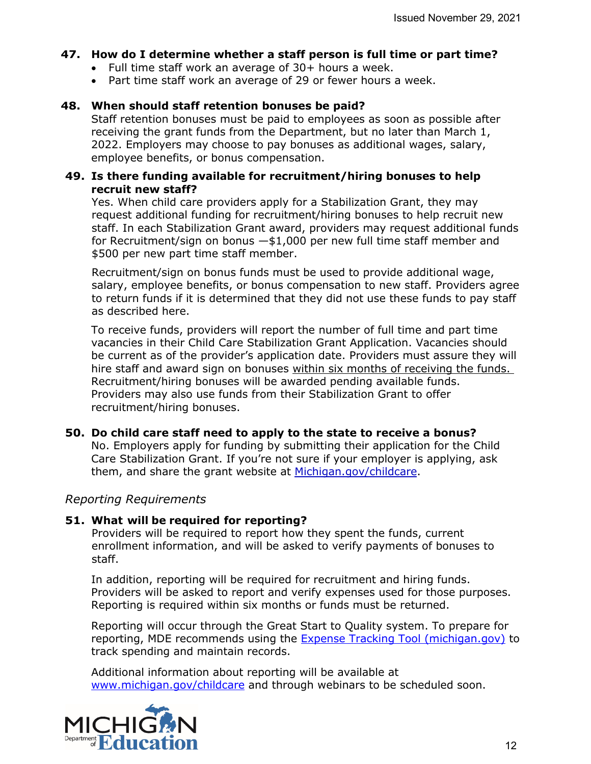#### **47. How do I determine whether a staff person is full time or part time?**

- Full time staff work an average of 30+ hours a week.
- Part time staff work an average of 29 or fewer hours a week.

#### **48. When should staff retention bonuses be paid?**

Staff retention bonuses must be paid to employees as soon as possible after receiving the grant funds from the Department, but no later than March 1, 2022. Employers may choose to pay bonuses as additional wages, salary, employee benefits, or bonus compensation.

#### **49. Is there funding available for recruitment/hiring bonuses to help recruit new staff?**

Yes. When child care providers apply for a Stabilization Grant, they may request additional funding for recruitment/hiring bonuses to help recruit new staff. In each Stabilization Grant award, providers may request additional funds for Recruitment/sign on bonus  $-\frac{1}{2}$ ,000 per new full time staff member and \$500 per new part time staff member.

Recruitment/sign on bonus funds must be used to provide additional wage, salary, employee benefits, or bonus compensation to new staff. Providers agree to return funds if it is determined that they did not use these funds to pay staff as described here.

To receive funds, providers will report the number of full time and part time vacancies in their Child Care Stabilization Grant Application. Vacancies should be current as of the provider's application date. Providers must assure they will hire staff and award sign on bonuses within six months of receiving the funds. Recruitment/hiring bonuses will be awarded pending available funds. Providers may also use funds from their Stabilization Grant to offer recruitment/hiring bonuses.

#### **50. Do child care staff need to apply to the state to receive a bonus?**

No. Employers apply for funding by submitting their application for the Child Care Stabilization Grant. If you're not sure if your employer is applying, ask them, and share the grant website at Michigan.gov/childcare.

#### *Reporting Requirements*

#### **51. What will be required for reporting?**

Providers will be required to report how they spent the funds, current enrollment information, and will be asked to verify payments of bonuses to staff.

In addition, reporting will be required for recruitment and hiring funds. Providers will be asked to report and verify expenses used for those purposes. Reporting is required within six months or funds must be returned.

Reporting will occur through the Great Start to Quality system. To prepare for reporting, MDE recommends using the [Expense Tracking Tool \(michigan.gov\)](https://www.michigan.gov/documents/mde/ARPA_MI_FCC_Expense_Tracking_Tool_740184_7.pdf) to track spending and maintain records.

Additional information about reporting will be available at [www.michigan.gov/childcare](http://www.michigan.gov/childcare) and through webinars to be scheduled soon.